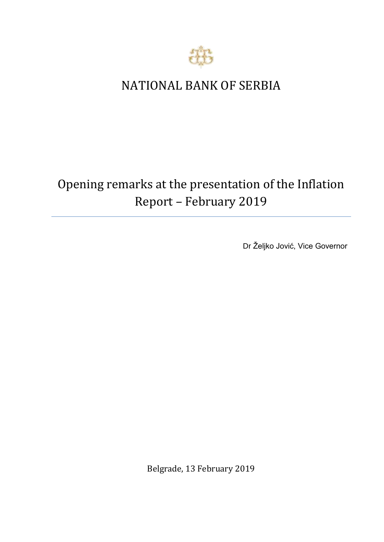

## NATIONAL BANK OF SERBIA

## Opening remarks at the presentation of the Inflation Report *–* February 2019

Dr Željko Jović, Vice Governor

Belgrade, 13 February 2019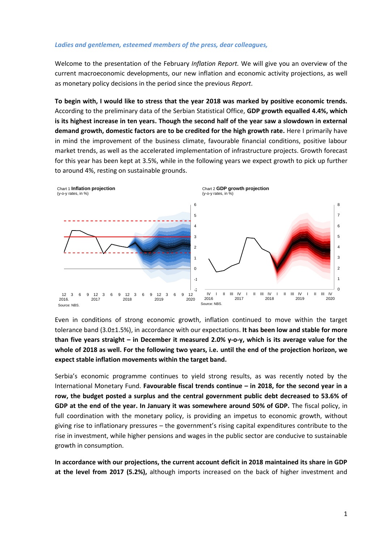## *Ladies and gentlemen, esteemed members of the press, dear colleagues,*

Welcome to the presentation of the February *Inflation Report.* We will give you an overview of the current macroeconomic developments, our new inflation and economic activity projections, as well as monetary policy decisions in the period since the previous *Report*.

**To begin with, I would like to stress that the year 2018 was marked by positive economic trends.**  According to the preliminary data of the Serbian Statistical Office, **GDP growth equalled 4.4%, which is its highest increase in ten years. Though the second half of the year saw a slowdown in external demand growth, domestic factors are to be credited for the high growth rate.** Here I primarily have in mind the improvement of the business climate, favourable financial conditions, positive labour market trends, as well as the accelerated implementation of infrastructure projects. Growth forecast for this year has been kept at 3.5%, while in the following years we expect growth to pick up further to around 4%, resting on sustainable grounds.



Even in conditions of strong economic growth, inflation continued to move within the target tolerance band (3.0±1.5%), in accordance with our expectations. **It has been low and stable for more than five years straight – in December it measured 2.0% y-o-y, which is its average value for the whole of 2018 as well. For the following two years, i.e. until the end of the projection horizon, we expect stable inflation movements within the target band.**

Serbia's economic programme continues to yield strong results, as was recently noted by the International Monetary Fund. **Favourable fiscal trends continue – in 2018, for the second year in a row, the budget posted a surplus and the central government public debt decreased to 53.6% of GDP at the end of the year. In January it was somewhere around 50% of GDP.** The fiscal policy, in full coordination with the monetary policy, is providing an impetus to economic growth, without giving rise to inflationary pressures – the government's rising capital expenditures contribute to the rise in investment, while higher pensions and wages in the public sector are conducive to sustainable growth in consumption.

**In accordance with our projections, the current account deficit in 2018 maintained its share in GDP at the level from 2017 (5.2%),** although imports increased on the back of higher investment and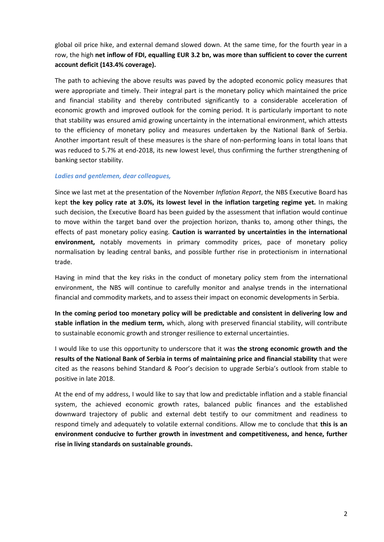global oil price hike, and external demand slowed down. At the same time, for the fourth year in a row, the high **net inflow of FDI, equalling EUR 3.2 bn, was more than sufficient to cover the current account deficit (143.4% coverage).**

The path to achieving the above results was paved by the adopted economic policy measures that were appropriate and timely. Their integral part is the monetary policy which maintained the price and financial stability and thereby contributed significantly to a considerable acceleration of economic growth and improved outlook for the coming period. It is particularly important to note that stability was ensured amid growing uncertainty in the international environment, which attests to the efficiency of monetary policy and measures undertaken by the National Bank of Serbia. Another important result of these measures is the share of non-performing loans in total loans that was reduced to 5.7% at end-2018, its new lowest level, thus confirming the further strengthening of banking sector stability.

## *Ladies and gentlemen, dear colleagues,*

Since we last met at the presentation of the November *Inflation Report*, the NBS Executive Board has kept **the key policy rate at 3.0%, its lowest level in the inflation targeting regime yet.** In making such decision, the Executive Board has been guided by the assessment that inflation would continue to move within the target band over the projection horizon, thanks to, among other things, the effects of past monetary policy easing. **Caution is warranted by uncertainties in the international environment,** notably movements in primary commodity prices, pace of monetary policy normalisation by leading central banks, and possible further rise in protectionism in international trade.

Having in mind that the key risks in the conduct of monetary policy stem from the international environment, the NBS will continue to carefully monitor and analyse trends in the international financial and commodity markets, and to assess their impact on economic developments in Serbia.

**In the coming period too monetary policy will be predictable and consistent in delivering low and stable inflation in the medium term,** which, along with preserved financial stability, will contribute to sustainable economic growth and stronger resilience to external uncertainties.

I would like to use this opportunity to underscore that it was **the strong economic growth and the results of the National Bank of Serbia in terms of maintaining price and financial stability** that were cited as the reasons behind Standard & Poor's decision to upgrade Serbia's outlook from stable to positive in late 2018.

At the end of my address, I would like to say that low and predictable inflation and a stable financial system, the achieved economic growth rates, balanced public finances and the established downward trajectory of public and external debt testify to our commitment and readiness to respond timely and adequately to volatile external conditions. Allow me to conclude that **this is an environment conducive to further growth in investment and competitiveness, and hence, further rise in living standards on sustainable grounds.**